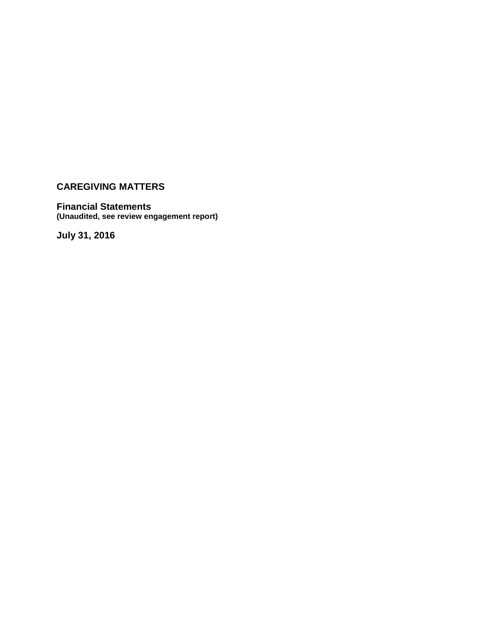## **Financial Statements (Unaudited, see review engagement report)**

**July 31, 2016**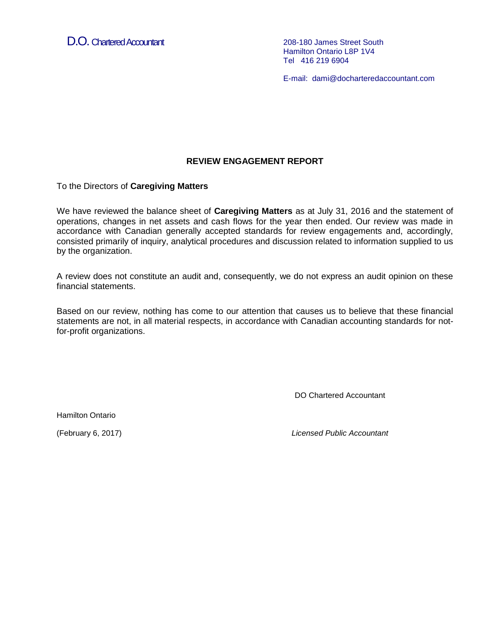D.O. Chartered Accountant 208-180 James Street South

Hamilton Ontario L8P 1V4 Tel 416 219 6904

E-mail: dami@docharteredaccountant.com

## **REVIEW ENGAGEMENT REPORT**

To the Directors of **Caregiving Matters**

We have reviewed the balance sheet of **Caregiving Matters** as at July 31, 2016 and the statement of operations, changes in net assets and cash flows for the year then ended. Our review was made in accordance with Canadian generally accepted standards for review engagements and, accordingly, consisted primarily of inquiry, analytical procedures and discussion related to information supplied to us by the organization.

A review does not constitute an audit and, consequently, we do not express an audit opinion on these financial statements.

Based on our review, nothing has come to our attention that causes us to believe that these financial statements are not, in all material respects, in accordance with Canadian accounting standards for notfor-profit organizations.

DO Chartered Accountant

Hamilton Ontario

(February 6, 2017) *Licensed Public Accountant*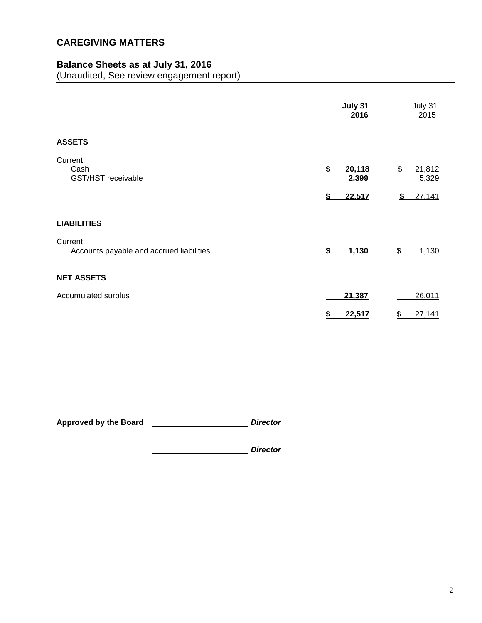# **Balance Sheets as at July 31, 2016**

(Unaudited, See review engagement report)

|                                                      | July 31<br>2016                 | July 31<br>2015                       |
|------------------------------------------------------|---------------------------------|---------------------------------------|
| <b>ASSETS</b>                                        |                                 |                                       |
| Current:<br>Cash<br>GST/HST receivable               | \$<br>20,118<br>2,399<br>22,517 | \$<br>21,812<br>5,329<br>27,141<br>\$ |
| <b>LIABILITIES</b>                                   |                                 |                                       |
| Current:<br>Accounts payable and accrued liabilities | \$<br>1,130                     | \$<br>1,130                           |
| <b>NET ASSETS</b>                                    |                                 |                                       |
| Accumulated surplus                                  | 21,387                          | 26,011                                |
|                                                      | \$<br>22,517                    | $\frac{1}{2}$<br>27,141               |

**Approved by the Board** *Director*

*Director*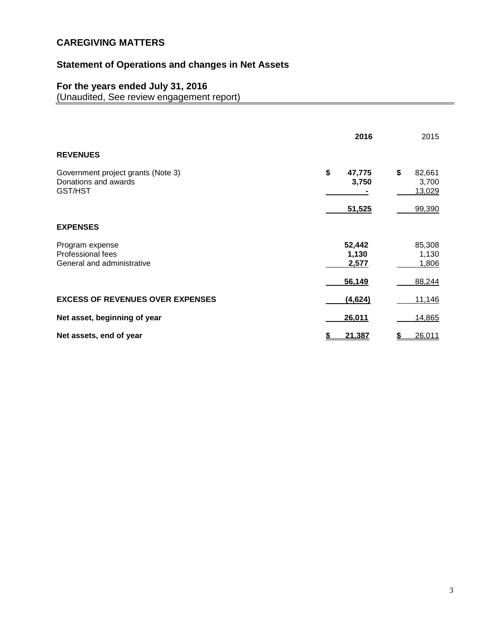# **Statement of Operations and changes in Net Assets**

## **For the years ended July 31, 2016**

(Unaudited, See review engagement report)

|                                                                       | 2016                     | 2015                            |
|-----------------------------------------------------------------------|--------------------------|---------------------------------|
| <b>REVENUES</b>                                                       |                          |                                 |
| Government project grants (Note 3)<br>Donations and awards<br>GST/HST | \$<br>47,775<br>3,750    | \$<br>82,661<br>3,700<br>13,029 |
|                                                                       | 51,525                   | 99,390                          |
| <b>EXPENSES</b>                                                       |                          |                                 |
| Program expense<br>Professional fees<br>General and administrative    | 52,442<br>1,130<br>2,577 | 85,308<br>1,130<br>1,806        |
|                                                                       | 56,149                   | 88,244                          |
| <b>EXCESS OF REVENUES OVER EXPENSES</b>                               | (4,624)                  | 11,146                          |
| Net asset, beginning of year                                          | 26,011                   | 14,865                          |
| Net assets, end of year                                               | 21,387                   | 26,011                          |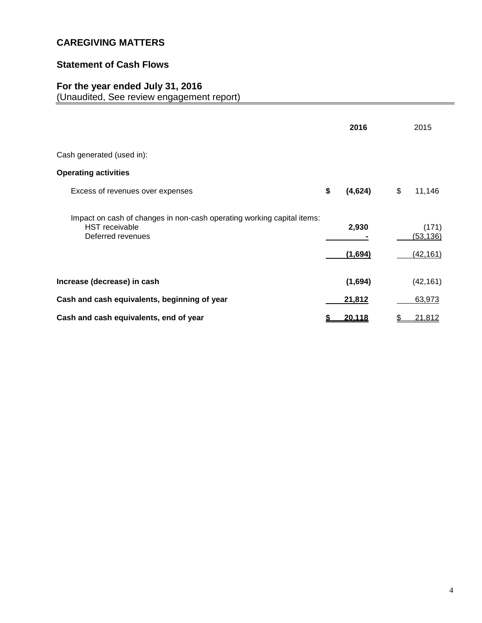## **Statement of Cash Flows**

## **For the year ended July 31, 2016**

(Unaudited, See review engagement report)

|                                                                                                                      |    | 2016    | 2015                     |
|----------------------------------------------------------------------------------------------------------------------|----|---------|--------------------------|
| Cash generated (used in):                                                                                            |    |         |                          |
| <b>Operating activities</b>                                                                                          |    |         |                          |
| Excess of revenues over expenses                                                                                     | \$ | (4,624) | \$<br>11,146             |
| Impact on cash of changes in non-cash operating working capital items:<br><b>HST</b> receivable<br>Deferred revenues |    | 2,930   | (171)<br><u>(53,136)</u> |
|                                                                                                                      |    | (1,694) | (42,161)                 |
| Increase (decrease) in cash                                                                                          |    | (1,694) | (42, 161)                |
| Cash and cash equivalents, beginning of year                                                                         |    | 21,812  | 63,973                   |
| Cash and cash equivalents, end of year                                                                               | 5  | 20,118  | \$<br>21,812             |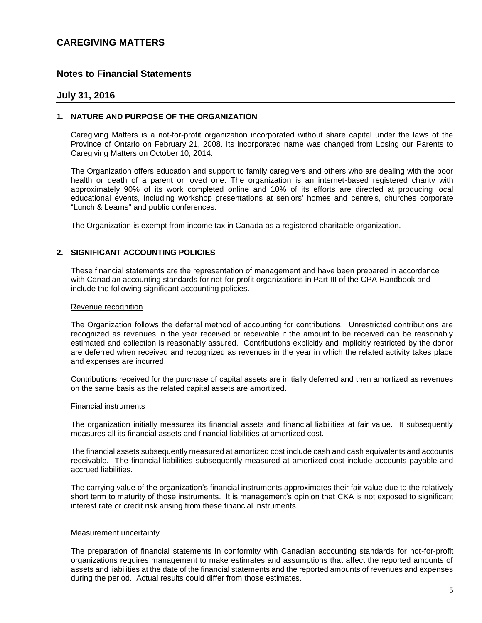### **Notes to Financial Statements**

### **July 31, 2016**

### **1. NATURE AND PURPOSE OF THE ORGANIZATION**

Caregiving Matters is a not-for-profit organization incorporated without share capital under the laws of the Province of Ontario on February 21, 2008. Its incorporated name was changed from Losing our Parents to Caregiving Matters on October 10, 2014.

The Organization offers education and support to family caregivers and others who are dealing with the poor health or death of a parent or loved one. The organization is an internet-based registered charity with approximately 90% of its work completed online and 10% of its efforts are directed at producing local educational events, including workshop presentations at seniors' homes and centre's, churches corporate "Lunch & Learns" and public conferences.

The Organization is exempt from income tax in Canada as a registered charitable organization.

### **2. SIGNIFICANT ACCOUNTING POLICIES**

These financial statements are the representation of management and have been prepared in accordance with Canadian accounting standards for not-for-profit organizations in Part III of the CPA Handbook and include the following significant accounting policies.

#### Revenue recognition

The Organization follows the deferral method of accounting for contributions. Unrestricted contributions are recognized as revenues in the year received or receivable if the amount to be received can be reasonably estimated and collection is reasonably assured. Contributions explicitly and implicitly restricted by the donor are deferred when received and recognized as revenues in the year in which the related activity takes place and expenses are incurred.

Contributions received for the purchase of capital assets are initially deferred and then amortized as revenues on the same basis as the related capital assets are amortized.

#### Financial instruments

The organization initially measures its financial assets and financial liabilities at fair value. It subsequently measures all its financial assets and financial liabilities at amortized cost.

The financial assets subsequently measured at amortized cost include cash and cash equivalents and accounts receivable. The financial liabilities subsequently measured at amortized cost include accounts payable and accrued liabilities.

The carrying value of the organization's financial instruments approximates their fair value due to the relatively short term to maturity of those instruments. It is management's opinion that CKA is not exposed to significant interest rate or credit risk arising from these financial instruments.

#### Measurement uncertainty

The preparation of financial statements in conformity with Canadian accounting standards for not-for-profit organizations requires management to make estimates and assumptions that affect the reported amounts of assets and liabilities at the date of the financial statements and the reported amounts of revenues and expenses during the period. Actual results could differ from those estimates.